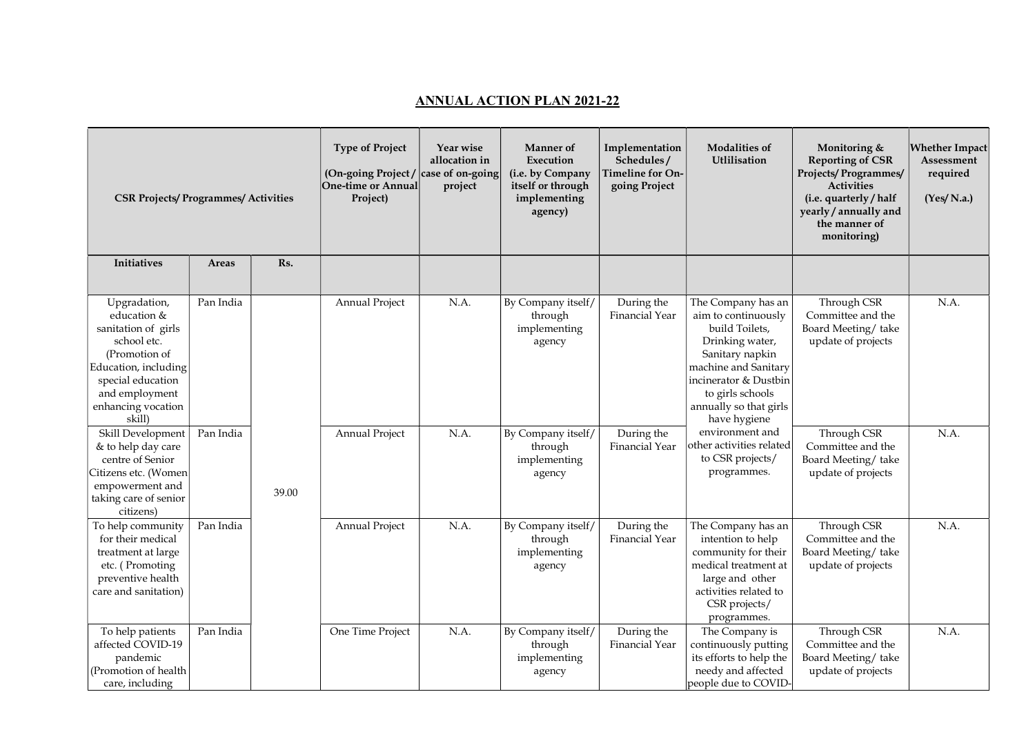## ANNUAL ACTION PLAN 2021-22

| <b>CSR Projects/Programmes/Activities</b>                                                                                                                                         |           |       | <b>Type of Project</b><br>(On-going Project / $\vert$ case of on-going<br>One-time or Annual<br>Project) | Year wise<br>allocation in<br>project | <b>Manner</b> of<br>Execution<br>(i.e. by Company<br>itself or through<br>implementing<br>agency) | Implementation<br>Schedules/<br>Timeline for On-<br>going Project | <b>Modalities of</b><br>Utlilisation                                                                                                                                                                             | Monitoring &<br><b>Reporting of CSR</b><br><b>Projects/Programmes/</b><br><b>Activities</b><br>(i.e. quarterly / half<br>yearly / annually and<br>the manner of<br>monitoring) | <b>Whether Impact</b><br>Assessment<br>required<br>(Yes/N.a.) |
|-----------------------------------------------------------------------------------------------------------------------------------------------------------------------------------|-----------|-------|----------------------------------------------------------------------------------------------------------|---------------------------------------|---------------------------------------------------------------------------------------------------|-------------------------------------------------------------------|------------------------------------------------------------------------------------------------------------------------------------------------------------------------------------------------------------------|--------------------------------------------------------------------------------------------------------------------------------------------------------------------------------|---------------------------------------------------------------|
| Initiatives                                                                                                                                                                       | Areas     | Rs.   |                                                                                                          |                                       |                                                                                                   |                                                                   |                                                                                                                                                                                                                  |                                                                                                                                                                                |                                                               |
| Upgradation,<br>education &<br>sanitation of girls<br>school etc.<br>(Promotion of<br>Education, including<br>special education<br>and employment<br>enhancing vocation<br>skill) | Pan India |       | Annual Project                                                                                           | N.A.                                  | By Company itself/<br>through<br>implementing<br>agency                                           | During the<br>Financial Year                                      | The Company has an<br>aim to continuously<br>build Toilets,<br>Drinking water,<br>Sanitary napkin<br>machine and Sanitary<br>incinerator & Dustbin<br>to girls schools<br>annually so that girls<br>have hygiene | Through CSR<br>Committee and the<br>Board Meeting/take<br>update of projects                                                                                                   | N.A.                                                          |
| Skill Development<br>& to help day care<br>centre of Senior<br>Citizens etc. (Women<br>empowerment and<br>taking care of senior<br>citizens)                                      | Pan India | 39.00 | Annual Project                                                                                           | N.A.                                  | By Company itself/<br>through<br>implementing<br>agency                                           | During the<br>Financial Year                                      | environment and<br>other activities related<br>to CSR projects/<br>programmes.                                                                                                                                   | Through CSR<br>Committee and the<br>Board Meeting/take<br>update of projects                                                                                                   | N.A.                                                          |
| To help community<br>for their medical<br>treatment at large<br>etc. (Promoting<br>preventive health<br>care and sanitation)                                                      | Pan India |       | Annual Project                                                                                           | N.A.                                  | By Company itself/<br>through<br>implementing<br>agency                                           | During the<br>Financial Year                                      | The Company has an<br>intention to help<br>community for their<br>medical treatment at<br>large and other<br>activities related to<br>CSR projects/<br>programmes.                                               | Through CSR<br>Committee and the<br>Board Meeting/take<br>update of projects                                                                                                   | N.A.                                                          |
| To help patients<br>affected COVID-19<br>pandemic<br>(Promotion of health<br>care, including                                                                                      | Pan India |       | One Time Project                                                                                         | N.A.                                  | By Company itself/<br>through<br>implementing<br>agency                                           | During the<br>Financial Year                                      | The Company is<br>continuously putting<br>its efforts to help the<br>needy and affected<br>people due to COVID-                                                                                                  | Through CSR<br>Committee and the<br>Board Meeting/take<br>update of projects                                                                                                   | N.A.                                                          |